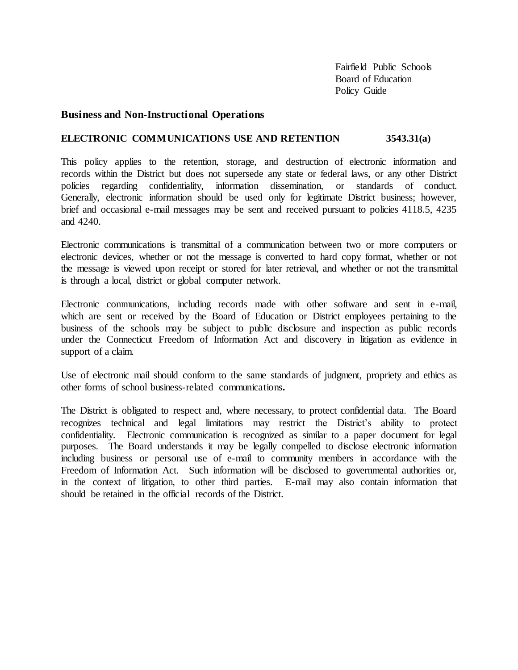## **Business and Non-Instructional Operations**

## **ELECTRONIC COMMUNICATIONS USE AND RETENTION 3543.31(a)**

This policy applies to the retention, storage, and destruction of electronic information and records within the District but does not supersede any state or federal laws, or any other District policies regarding confidentiality, information dissemination, or standards of conduct. Generally, electronic information should be used only for legitimate District business; however, brief and occasional e-mail messages may be sent and received pursuant to policies 4118.5, 4235 and 4240.

Electronic communications is transmittal of a communication between two or more computers or electronic devices, whether or not the message is converted to hard copy format, whether or not the message is viewed upon receipt or stored for later retrieval, and whether or not the transmittal is through a local, district or global computer network.

Electronic communications, including records made with other software and sent in e-mail, which are sent or received by the Board of Education or District employees pertaining to the business of the schools may be subject to public disclosure and inspection as public records under the Connecticut Freedom of Information Act and discovery in litigation as evidence in support of a claim.

Use of electronic mail should conform to the same standards of judgment, propriety and ethics as other forms of school business-related communications**.**

The District is obligated to respect and, where necessary, to protect confidential data. The Board recognizes technical and legal limitations may restrict the District's ability to protect confidentiality. Electronic communication is recognized as similar to a paper document for legal purposes. The Board understands it may be legally compelled to disclose electronic information including business or personal use of e-mail to community members in accordance with the Freedom of Information Act. Such information will be disclosed to governmental authorities or, in the context of litigation, to other third parties. E-mail may also contain information that should be retained in the official records of the District.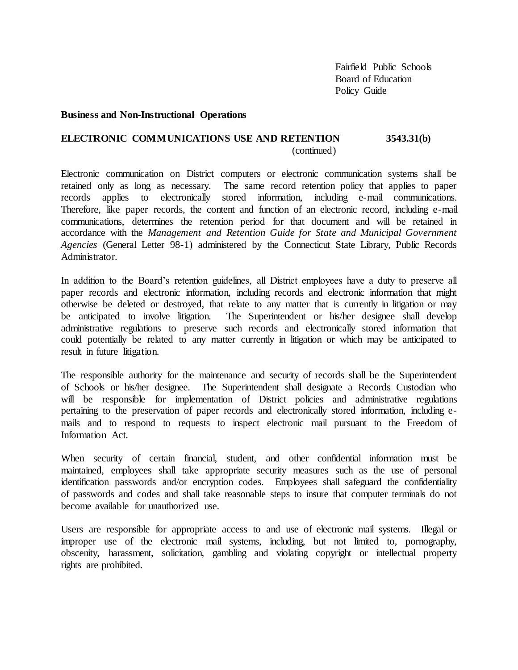#### **Business and Non-Instructional Operations**

## **ELECTRONIC COMMUNICATIONS USE AND RETENTION 3543.31(b)** (continued)

Electronic communication on District computers or electronic communication systems shall be retained only as long as necessary. The same record retention policy that applies to paper records applies to electronically stored information, including e-mail communications. Therefore, like paper records, the content and function of an electronic record, including e-mail communications, determines the retention period for that document and will be retained in accordance with the *Management and Retention Guide for State and Municipal Government Agencies* (General Letter 98-1) administered by the Connecticut State Library, Public Records Administrator.

In addition to the Board's retention guidelines, all District employees have a duty to preserve all paper records and electronic information, including records and electronic information that might otherwise be deleted or destroyed, that relate to any matter that is currently in litigation or may be anticipated to involve litigation. The Superintendent or his/her designee shall develop administrative regulations to preserve such records and electronically stored information that could potentially be related to any matter currently in litigation or which may be anticipated to result in future litigation.

The responsible authority for the maintenance and security of records shall be the Superintendent of Schools or his/her designee. The Superintendent shall designate a Records Custodian who will be responsible for implementation of District policies and administrative regulations pertaining to the preservation of paper records and electronically stored information, including emails and to respond to requests to inspect electronic mail pursuant to the Freedom of Information Act.

When security of certain financial, student, and other confidential information must be maintained, employees shall take appropriate security measures such as the use of personal identification passwords and/or encryption codes. Employees shall safeguard the confidentiality of passwords and codes and shall take reasonable steps to insure that computer terminals do not become available for unauthorized use.

Users are responsible for appropriate access to and use of electronic mail systems. Illegal or improper use of the electronic mail systems, including, but not limited to, pornography, obscenity, harassment, solicitation, gambling and violating copyright or intellectual property rights are prohibited.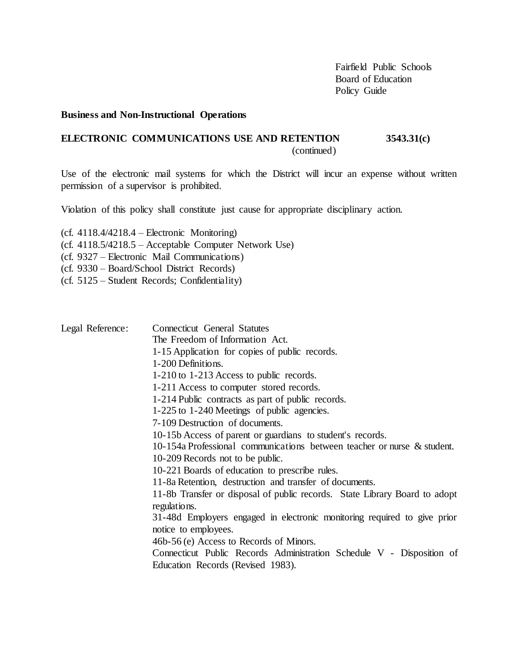# **Business and Non-Instructional Operations**

# **ELECTRONIC COMMUNICATIONS USE AND RETENTION 3543.31(c)**

(continued)

Use of the electronic mail systems for which the District will incur an expense without written permission of a supervisor is prohibited.

Violation of this policy shall constitute just cause for appropriate disciplinary action.

(cf.  $4118.4/4218.4$  – Electronic Monitoring) (cf. 4118.5/4218.5 – Acceptable Computer Network Use) (cf. 9327 – Electronic Mail Communications) (cf. 9330 – Board/School District Records) (cf. 5125 – Student Records; Confidentiality)

| Legal Reference: | <b>Connecticut General Statutes</b>                                        |
|------------------|----------------------------------------------------------------------------|
|                  | The Freedom of Information Act.                                            |
|                  | 1-15 Application for copies of public records.                             |
|                  | 1-200 Definitions.                                                         |
|                  | 1-210 to 1-213 Access to public records.                                   |
|                  | 1-211 Access to computer stored records.                                   |
|                  | 1-214 Public contracts as part of public records.                          |
|                  | 1-225 to 1-240 Meetings of public agencies.                                |
|                  | 7-109 Destruction of documents.                                            |
|                  | 10-15b Access of parent or guardians to student's records.                 |
|                  | 10-154a Professional communications between teacher or nurse & student.    |
|                  | 10-209 Records not to be public.                                           |
|                  | 10-221 Boards of education to prescribe rules.                             |
|                  | 11-8a Retention, destruction and transfer of documents.                    |
|                  | 11-8b Transfer or disposal of public records. State Library Board to adopt |
|                  | regulations.                                                               |
|                  | 31-48d Employers engaged in electronic monitoring required to give prior   |
|                  | notice to employees.                                                       |
|                  | 46b-56(e) Access to Records of Minors.                                     |
|                  | Connecticut Public Records Administration Schedule V - Disposition of      |
|                  | Education Records (Revised 1983).                                          |